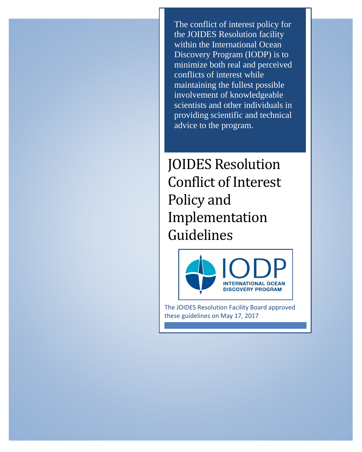The conflict of interest policy for the JOIDES Resolution facility within the International Ocean Discovery Program (IODP) is to minimize both real and perceived conflicts of interest while maintaining the fullest possible involvement of knowledgeable scientists and other individuals in providing scientific and technical advice to the program.

JOIDES Resolution Conflict of Interest Policy and Implementation Guidelines



The JOIDES Resolution Facility Board approved these guidelines on May 17, 2017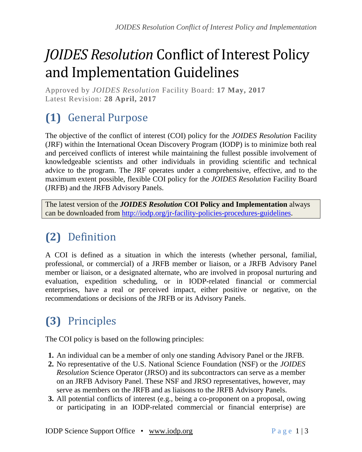# *JOIDES Resolution* Conflict of Interest Policy and Implementation Guidelines

Approved by *JOIDES Resolution* Facility Board: **17 May, 2017** Latest Revision: **28 April, 2017**

## **(1)** General Purpose

The objective of the conflict of interest (COI) policy for the *JOIDES Resolution* Facility (JRF) within the International Ocean Discovery Program (IODP) is to minimize both real and perceived conflicts of interest while maintaining the fullest possible involvement of knowledgeable scientists and other individuals in providing scientific and technical advice to the program. The JRF operates under a comprehensive, effective, and to the maximum extent possible, flexible COI policy for the *JOIDES Resolution* Facility Board (JRFB) and the JRFB Advisory Panels.

The latest version of the *JOIDES Resolution* **COI Policy and Implementation** always can be downloaded from [http://iodp.org/jr-facility-policies-procedures-guidelines.](http://iodp.org/jr-facility-policies-procedures-guidelines)

#### **(2)** Definition

A COI is defined as a situation in which the interests (whether personal, familial, professional, or commercial) of a JRFB member or liaison, or a JRFB Advisory Panel member or liaison, or a designated alternate, who are involved in proposal nurturing and evaluation, expedition scheduling, or in IODP-related financial or commercial enterprises, have a real or perceived impact, either positive or negative, on the recommendations or decisions of the JRFB or its Advisory Panels.

### **(3)** Principles

The COI policy is based on the following principles:

- **1.** An individual can be a member of only one standing Advisory Panel or the JRFB.
- **2.** No representative of the U.S. National Science Foundation (NSF) or the *JOIDES Resolution* Science Operator (JRSO) and its subcontractors can serve as a member on an JRFB Advisory Panel. These NSF and JRSO representatives, however, may serve as members on the JRFB and as liaisons to the JRFB Advisory Panels.
- **3.** All potential conflicts of interest (e.g., being a co-proponent on a proposal, owing or participating in an IODP-related commercial or financial enterprise) are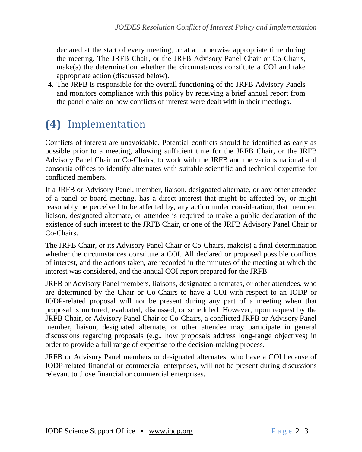declared at the start of every meeting, or at an otherwise appropriate time during the meeting. The JRFB Chair, or the JRFB Advisory Panel Chair or Co-Chairs, make(s) the determination whether the circumstances constitute a COI and take appropriate action (discussed below).

**4.** The JRFB is responsible for the overall functioning of the JRFB Advisory Panels and monitors compliance with this policy by receiving a brief annual report from the panel chairs on how conflicts of interest were dealt with in their meetings.

#### **(4)** Implementation

Conflicts of interest are unavoidable. Potential conflicts should be identified as early as possible prior to a meeting, allowing sufficient time for the JRFB Chair, or the JRFB Advisory Panel Chair or Co-Chairs, to work with the JRFB and the various national and consortia offices to identify alternates with suitable scientific and technical expertise for conflicted members.

If a JRFB or Advisory Panel, member, liaison, designated alternate, or any other attendee of a panel or board meeting, has a direct interest that might be affected by, or might reasonably be perceived to be affected by, any action under consideration, that member, liaison, designated alternate, or attendee is required to make a public declaration of the existence of such interest to the JRFB Chair, or one of the JRFB Advisory Panel Chair or Co-Chairs.

The JRFB Chair, or its Advisory Panel Chair or Co-Chairs, make(s) a final determination whether the circumstances constitute a COI. All declared or proposed possible conflicts of interest, and the actions taken, are recorded in the minutes of the meeting at which the interest was considered, and the annual COI report prepared for the JRFB.

JRFB or Advisory Panel members, liaisons, designated alternates, or other attendees, who are determined by the Chair or Co-Chairs to have a COI with respect to an IODP or IODP-related proposal will not be present during any part of a meeting when that proposal is nurtured, evaluated, discussed, or scheduled. However, upon request by the JRFB Chair, or Advisory Panel Chair or Co-Chairs, a conflicted JRFB or Advisory Panel member, liaison, designated alternate, or other attendee may participate in general discussions regarding proposals (e.g., how proposals address long-range objectives) in order to provide a full range of expertise to the decision-making process.

JRFB or Advisory Panel members or designated alternates, who have a COI because of IODP-related financial or commercial enterprises, will not be present during discussions relevant to those financial or commercial enterprises.